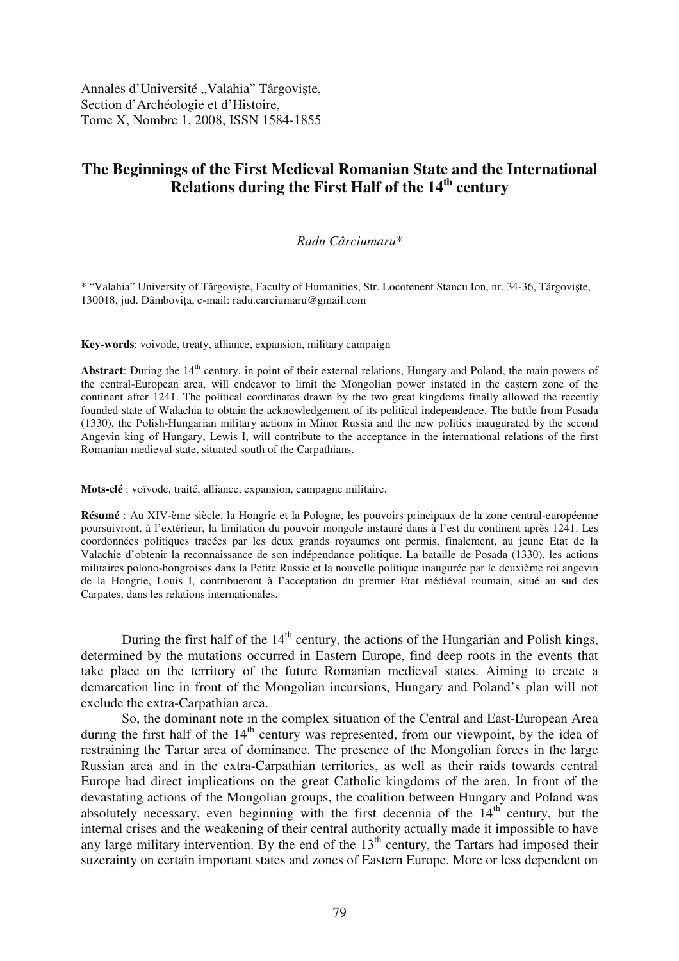Annales d'Université "Valahia" Târgoviște, Section d'Archéologie et d'Histoire, Tome X, Nombre 1, 2008, ISSN 1584-1855

## **The Beginnings of the First Medieval Romanian State and the International Relations during the First Half of the 14th century**

## *Radu Cârciumaru*\*

\* "Valahia" University of Târgovite, Faculty of Humanities, Str. Locotenent Stancu Ion, nr. 34-36, Târgovite, 130018, jud. Dâmbovia, e-mail: radu.carciumaru@gmail.com

**Key-words**: voivode, treaty, alliance, expansion, military campaign

**Abstract**: During the 14<sup>th</sup> century, in point of their external relations, Hungary and Poland, the main powers of the central-European area, will endeavor to limit the Mongolian power instated in the eastern zone of the continent after 1241. The political coordinates drawn by the two great kingdoms finally allowed the recently founded state of Walachia to obtain the acknowledgement of its political independence. The battle from Posada (1330), the Polish-Hungarian military actions in Minor Russia and the new politics inaugurated by the second Angevin king of Hungary, Lewis I, will contribute to the acceptance in the international relations of the first Romanian medieval state, situated south of the Carpathians.

**Mots-clé** : voïvode, traité, alliance, expansion, campagne militaire.

**Résumé** : Au XIV-ème siècle, la Hongrie et la Pologne, les pouvoirs principaux de la zone central-européenne poursuivront, à l'extérieur, la limitation du pouvoir mongole instauré dans à l'est du continent après 1241. Les coordonnées politiques tracées par les deux grands royaumes ont permis, finalement, au jeune Etat de la Valachie d'obtenir la reconnaissance de son indépendance politique. La bataille de Posada (1330), les actions militaires polono-hongroises dans la Petite Russie et la nouvelle politique inaugurée par le deuxième roi angevin de la Hongrie, Louis I, contribueront à l'acceptation du premier Etat médiéval roumain, situé au sud des Carpates, dans les relations internationales.

During the first half of the  $14<sup>th</sup>$  century, the actions of the Hungarian and Polish kings, determined by the mutations occurred in Eastern Europe, find deep roots in the events that take place on the territory of the future Romanian medieval states. Aiming to create a demarcation line in front of the Mongolian incursions, Hungary and Poland's plan will not exclude the extra-Carpathian area.

So, the dominant note in the complex situation of the Central and East-European Area during the first half of the  $14<sup>th</sup>$  century was represented, from our viewpoint, by the idea of restraining the Tartar area of dominance. The presence of the Mongolian forces in the large Russian area and in the extra-Carpathian territories, as well as their raids towards central Europe had direct implications on the great Catholic kingdoms of the area. In front of the devastating actions of the Mongolian groups, the coalition between Hungary and Poland was absolutely necessary, even beginning with the first decennia of the  $14<sup>th</sup>$  century, but the internal crises and the weakening of their central authority actually made it impossible to have any large military intervention. By the end of the  $13<sup>th</sup>$  century, the Tartars had imposed their suzerainty on certain important states and zones of Eastern Europe. More or less dependent on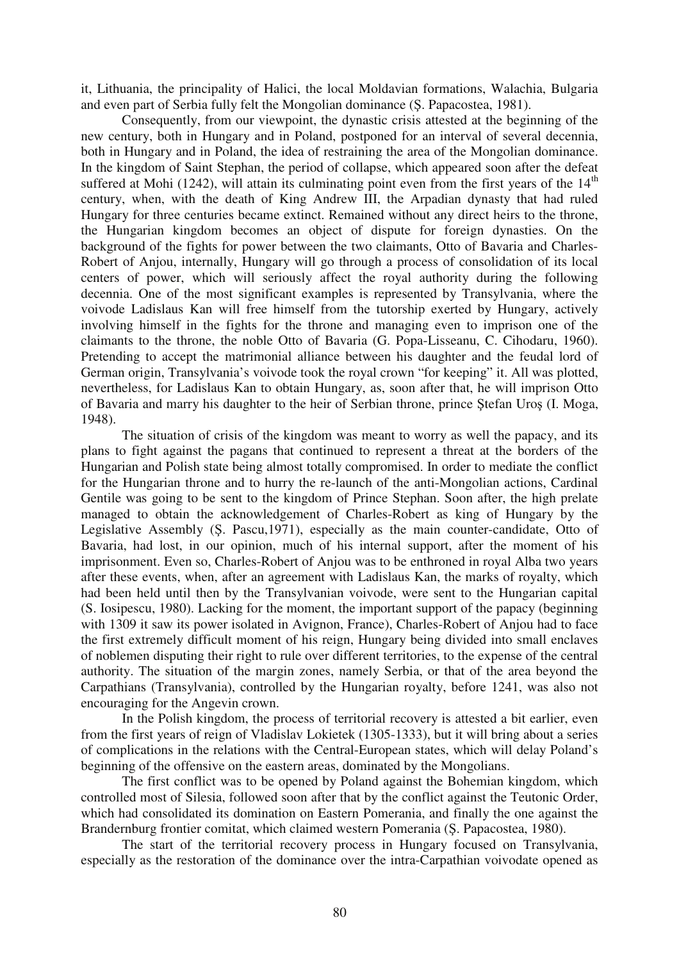it, Lithuania, the principality of Halici, the local Moldavian formations, Walachia, Bulgaria and even part of Serbia fully felt the Mongolian dominance (S. Papacostea, 1981).

Consequently, from our viewpoint, the dynastic crisis attested at the beginning of the new century, both in Hungary and in Poland, postponed for an interval of several decennia, both in Hungary and in Poland, the idea of restraining the area of the Mongolian dominance. In the kingdom of Saint Stephan, the period of collapse, which appeared soon after the defeat suffered at Mohi (1242), will attain its culminating point even from the first years of the  $14<sup>th</sup>$ century, when, with the death of King Andrew III, the Arpadian dynasty that had ruled Hungary for three centuries became extinct. Remained without any direct heirs to the throne, the Hungarian kingdom becomes an object of dispute for foreign dynasties. On the background of the fights for power between the two claimants, Otto of Bavaria and Charles-Robert of Anjou, internally, Hungary will go through a process of consolidation of its local centers of power, which will seriously affect the royal authority during the following decennia. One of the most significant examples is represented by Transylvania, where the voivode Ladislaus Kan will free himself from the tutorship exerted by Hungary, actively involving himself in the fights for the throne and managing even to imprison one of the claimants to the throne, the noble Otto of Bavaria (G. Popa-Lisseanu, C. Cihodaru, 1960). Pretending to accept the matrimonial alliance between his daughter and the feudal lord of German origin, Transylvania's voivode took the royal crown "for keeping" it. All was plotted, nevertheless, for Ladislaus Kan to obtain Hungary, as, soon after that, he will imprison Otto of Bavaria and marry his daughter to the heir of Serbian throne, prince Stefan Uros (I. Moga, 1948).

The situation of crisis of the kingdom was meant to worry as well the papacy, and its plans to fight against the pagans that continued to represent a threat at the borders of the Hungarian and Polish state being almost totally compromised. In order to mediate the conflict for the Hungarian throne and to hurry the re-launch of the anti-Mongolian actions, Cardinal Gentile was going to be sent to the kingdom of Prince Stephan. Soon after, the high prelate managed to obtain the acknowledgement of Charles-Robert as king of Hungary by the Legislative Assembly (S. Pascu, 1971), especially as the main counter-candidate, Otto of Bavaria, had lost, in our opinion, much of his internal support, after the moment of his imprisonment. Even so, Charles-Robert of Anjou was to be enthroned in royal Alba two years after these events, when, after an agreement with Ladislaus Kan, the marks of royalty, which had been held until then by the Transylvanian voivode, were sent to the Hungarian capital (S. Iosipescu, 1980). Lacking for the moment, the important support of the papacy (beginning with 1309 it saw its power isolated in Avignon, France), Charles-Robert of Anjou had to face the first extremely difficult moment of his reign, Hungary being divided into small enclaves of noblemen disputing their right to rule over different territories, to the expense of the central authority. The situation of the margin zones, namely Serbia, or that of the area beyond the Carpathians (Transylvania), controlled by the Hungarian royalty, before 1241, was also not encouraging for the Angevin crown.

In the Polish kingdom, the process of territorial recovery is attested a bit earlier, even from the first years of reign of Vladislav Lokietek (1305-1333), but it will bring about a series of complications in the relations with the Central-European states, which will delay Poland's beginning of the offensive on the eastern areas, dominated by the Mongolians.

The first conflict was to be opened by Poland against the Bohemian kingdom, which controlled most of Silesia, followed soon after that by the conflict against the Teutonic Order, which had consolidated its domination on Eastern Pomerania, and finally the one against the Brandernburg frontier comitat, which claimed western Pomerania (S. Papacostea, 1980).

The start of the territorial recovery process in Hungary focused on Transylvania, especially as the restoration of the dominance over the intra-Carpathian voivodate opened as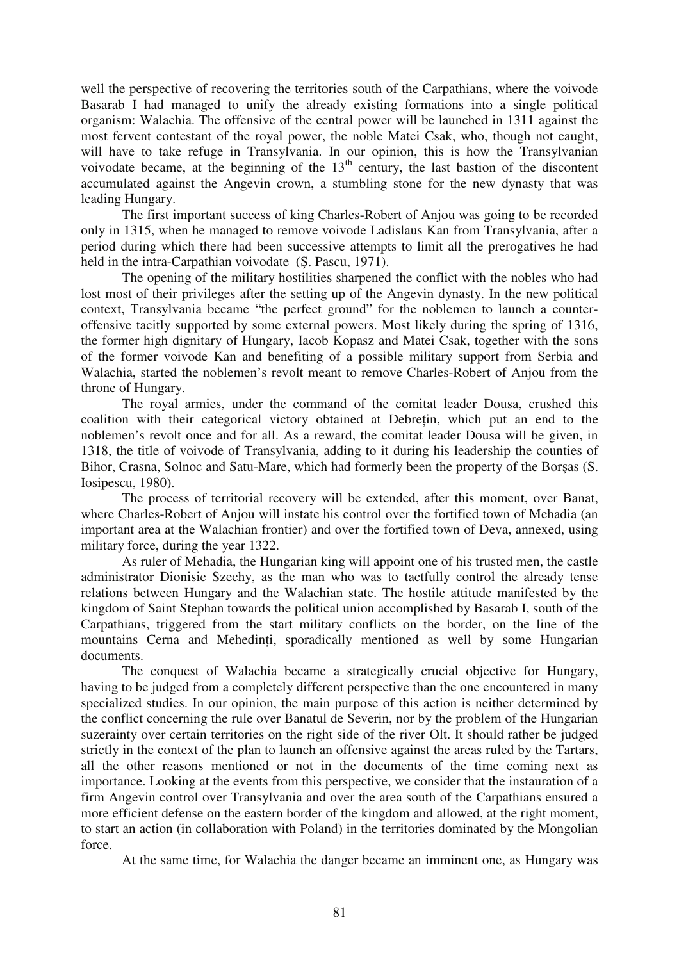well the perspective of recovering the territories south of the Carpathians, where the voivode Basarab I had managed to unify the already existing formations into a single political organism: Walachia. The offensive of the central power will be launched in 1311 against the most fervent contestant of the royal power, the noble Matei Csak, who, though not caught, will have to take refuge in Transylvania. In our opinion, this is how the Transylvanian voivodate became, at the beginning of the  $13<sup>th</sup>$  century, the last bastion of the discontent accumulated against the Angevin crown, a stumbling stone for the new dynasty that was leading Hungary.

The first important success of king Charles-Robert of Anjou was going to be recorded only in 1315, when he managed to remove voivode Ladislaus Kan from Transylvania, after a period during which there had been successive attempts to limit all the prerogatives he had held in the intra-Carpathian voivodate (S. Pascu, 1971).

The opening of the military hostilities sharpened the conflict with the nobles who had lost most of their privileges after the setting up of the Angevin dynasty. In the new political context, Transylvania became "the perfect ground" for the noblemen to launch a counteroffensive tacitly supported by some external powers. Most likely during the spring of 1316, the former high dignitary of Hungary, Iacob Kopasz and Matei Csak, together with the sons of the former voivode Kan and benefiting of a possible military support from Serbia and Walachia, started the noblemen's revolt meant to remove Charles-Robert of Anjou from the throne of Hungary.

The royal armies, under the command of the comitat leader Dousa, crushed this coalition with their categorical victory obtained at Debrein, which put an end to the noblemen's revolt once and for all. As a reward, the comitat leader Dousa will be given, in 1318, the title of voivode of Transylvania, adding to it during his leadership the counties of Bihor, Crasna, Solnoc and Satu-Mare, which had formerly been the property of the Borsas (S. Iosipescu, 1980).

The process of territorial recovery will be extended, after this moment, over Banat, where Charles-Robert of Anjou will instate his control over the fortified town of Mehadia (an important area at the Walachian frontier) and over the fortified town of Deva, annexed, using military force, during the year 1322.

As ruler of Mehadia, the Hungarian king will appoint one of his trusted men, the castle administrator Dionisie Szechy, as the man who was to tactfully control the already tense relations between Hungary and the Walachian state. The hostile attitude manifested by the kingdom of Saint Stephan towards the political union accomplished by Basarab I, south of the Carpathians, triggered from the start military conflicts on the border, on the line of the mountains Cerna and Mehedinți, sporadically mentioned as well by some Hungarian documents.

The conquest of Walachia became a strategically crucial objective for Hungary, having to be judged from a completely different perspective than the one encountered in many specialized studies. In our opinion, the main purpose of this action is neither determined by the conflict concerning the rule over Banatul de Severin, nor by the problem of the Hungarian suzerainty over certain territories on the right side of the river Olt. It should rather be judged strictly in the context of the plan to launch an offensive against the areas ruled by the Tartars, all the other reasons mentioned or not in the documents of the time coming next as importance. Looking at the events from this perspective, we consider that the instauration of a firm Angevin control over Transylvania and over the area south of the Carpathians ensured a more efficient defense on the eastern border of the kingdom and allowed, at the right moment, to start an action (in collaboration with Poland) in the territories dominated by the Mongolian force.

At the same time, for Walachia the danger became an imminent one, as Hungary was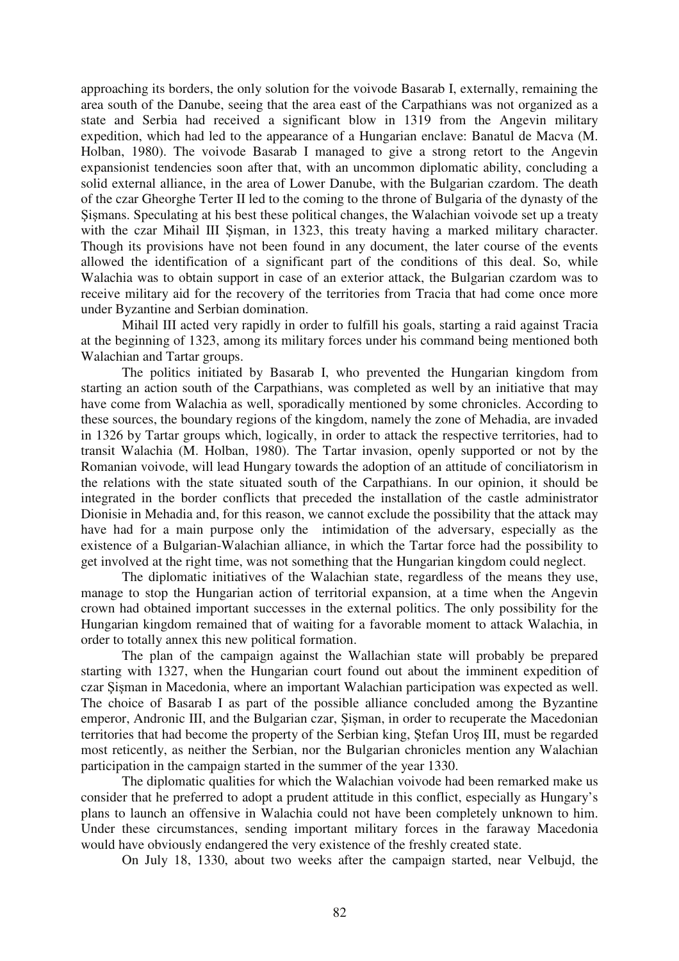approaching its borders, the only solution for the voivode Basarab I, externally, remaining the area south of the Danube, seeing that the area east of the Carpathians was not organized as a state and Serbia had received a significant blow in 1319 from the Angevin military expedition, which had led to the appearance of a Hungarian enclave: Banatul de Macva (M. Holban, 1980). The voivode Basarab I managed to give a strong retort to the Angevin expansionist tendencies soon after that, with an uncommon diplomatic ability, concluding a solid external alliance, in the area of Lower Danube, with the Bulgarian czardom. The death of the czar Gheorghe Terter II led to the coming to the throne of Bulgaria of the dynasty of the Sigmans. Speculating at his best these political changes, the Walachian voivode set up a treaty with the czar Mihail III Sisman, in 1323, this treaty having a marked military character. Though its provisions have not been found in any document, the later course of the events allowed the identification of a significant part of the conditions of this deal. So, while Walachia was to obtain support in case of an exterior attack, the Bulgarian czardom was to receive military aid for the recovery of the territories from Tracia that had come once more under Byzantine and Serbian domination.

Mihail III acted very rapidly in order to fulfill his goals, starting a raid against Tracia at the beginning of 1323, among its military forces under his command being mentioned both Walachian and Tartar groups.

The politics initiated by Basarab I, who prevented the Hungarian kingdom from starting an action south of the Carpathians, was completed as well by an initiative that may have come from Walachia as well, sporadically mentioned by some chronicles. According to these sources, the boundary regions of the kingdom, namely the zone of Mehadia, are invaded in 1326 by Tartar groups which, logically, in order to attack the respective territories, had to transit Walachia (M. Holban, 1980). The Tartar invasion, openly supported or not by the Romanian voivode, will lead Hungary towards the adoption of an attitude of conciliatorism in the relations with the state situated south of the Carpathians. In our opinion, it should be integrated in the border conflicts that preceded the installation of the castle administrator Dionisie in Mehadia and, for this reason, we cannot exclude the possibility that the attack may have had for a main purpose only the intimidation of the adversary, especially as the existence of a Bulgarian-Walachian alliance, in which the Tartar force had the possibility to get involved at the right time, was not something that the Hungarian kingdom could neglect.

The diplomatic initiatives of the Walachian state, regardless of the means they use, manage to stop the Hungarian action of territorial expansion, at a time when the Angevin crown had obtained important successes in the external politics. The only possibility for the Hungarian kingdom remained that of waiting for a favorable moment to attack Walachia, in order to totally annex this new political formation.

The plan of the campaign against the Wallachian state will probably be prepared starting with 1327, when the Hungarian court found out about the imminent expedition of czar Sisman in Macedonia, where an important Walachian participation was expected as well. The choice of Basarab I as part of the possible alliance concluded among the Byzantine emperor, Andronic III, and the Bulgarian czar, Şişman, in order to recuperate the Macedonian territories that had become the property of the Serbian king, Stefan Uros III, must be regarded most reticently, as neither the Serbian, nor the Bulgarian chronicles mention any Walachian participation in the campaign started in the summer of the year 1330.

The diplomatic qualities for which the Walachian voivode had been remarked make us consider that he preferred to adopt a prudent attitude in this conflict, especially as Hungary's plans to launch an offensive in Walachia could not have been completely unknown to him. Under these circumstances, sending important military forces in the faraway Macedonia would have obviously endangered the very existence of the freshly created state.

On July 18, 1330, about two weeks after the campaign started, near Velbujd, the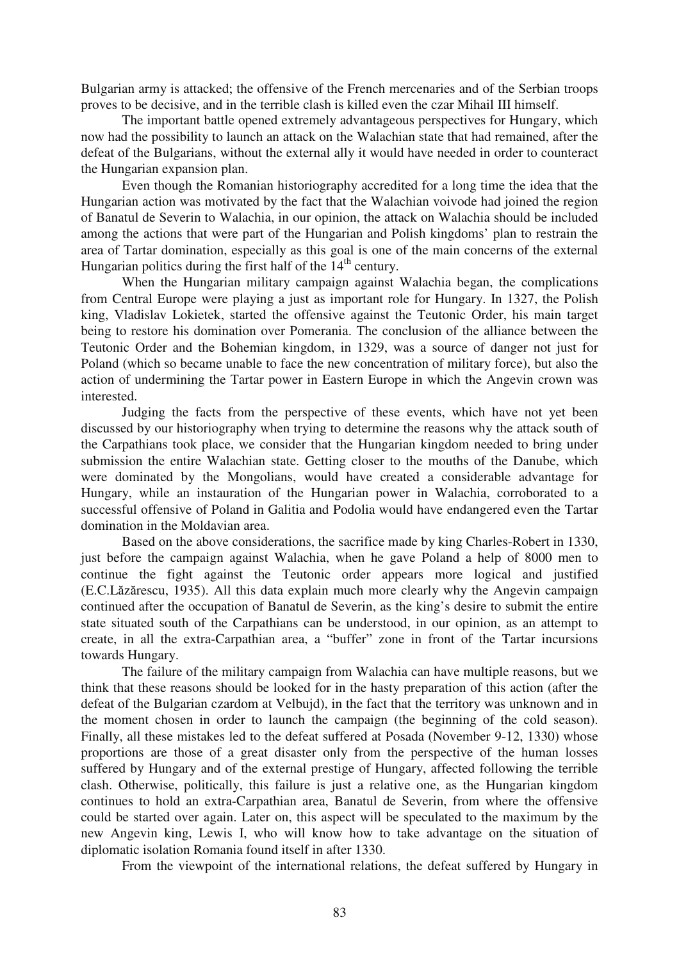Bulgarian army is attacked; the offensive of the French mercenaries and of the Serbian troops proves to be decisive, and in the terrible clash is killed even the czar Mihail III himself.

The important battle opened extremely advantageous perspectives for Hungary, which now had the possibility to launch an attack on the Walachian state that had remained, after the defeat of the Bulgarians, without the external ally it would have needed in order to counteract the Hungarian expansion plan.

Even though the Romanian historiography accredited for a long time the idea that the Hungarian action was motivated by the fact that the Walachian voivode had joined the region of Banatul de Severin to Walachia, in our opinion, the attack on Walachia should be included among the actions that were part of the Hungarian and Polish kingdoms' plan to restrain the area of Tartar domination, especially as this goal is one of the main concerns of the external Hungarian politics during the first half of the  $14<sup>th</sup>$  century.

When the Hungarian military campaign against Walachia began, the complications from Central Europe were playing a just as important role for Hungary. In 1327, the Polish king, Vladislav Lokietek, started the offensive against the Teutonic Order, his main target being to restore his domination over Pomerania. The conclusion of the alliance between the Teutonic Order and the Bohemian kingdom, in 1329, was a source of danger not just for Poland (which so became unable to face the new concentration of military force), but also the action of undermining the Tartar power in Eastern Europe in which the Angevin crown was interested.

Judging the facts from the perspective of these events, which have not yet been discussed by our historiography when trying to determine the reasons why the attack south of the Carpathians took place, we consider that the Hungarian kingdom needed to bring under submission the entire Walachian state. Getting closer to the mouths of the Danube, which were dominated by the Mongolians, would have created a considerable advantage for Hungary, while an instauration of the Hungarian power in Walachia, corroborated to a successful offensive of Poland in Galitia and Podolia would have endangered even the Tartar domination in the Moldavian area.

Based on the above considerations, the sacrifice made by king Charles-Robert in 1330, just before the campaign against Walachia, when he gave Poland a help of 8000 men to continue the fight against the Teutonic order appears more logical and justified (E.C.Lăzărescu, 1935). All this data explain much more clearly why the Angevin campaign continued after the occupation of Banatul de Severin, as the king's desire to submit the entire state situated south of the Carpathians can be understood, in our opinion, as an attempt to create, in all the extra-Carpathian area, a "buffer" zone in front of the Tartar incursions towards Hungary.

The failure of the military campaign from Walachia can have multiple reasons, but we think that these reasons should be looked for in the hasty preparation of this action (after the defeat of the Bulgarian czardom at Velbujd), in the fact that the territory was unknown and in the moment chosen in order to launch the campaign (the beginning of the cold season). Finally, all these mistakes led to the defeat suffered at Posada (November 9-12, 1330) whose proportions are those of a great disaster only from the perspective of the human losses suffered by Hungary and of the external prestige of Hungary, affected following the terrible clash. Otherwise, politically, this failure is just a relative one, as the Hungarian kingdom continues to hold an extra-Carpathian area, Banatul de Severin, from where the offensive could be started over again. Later on, this aspect will be speculated to the maximum by the new Angevin king, Lewis I, who will know how to take advantage on the situation of diplomatic isolation Romania found itself in after 1330.

From the viewpoint of the international relations, the defeat suffered by Hungary in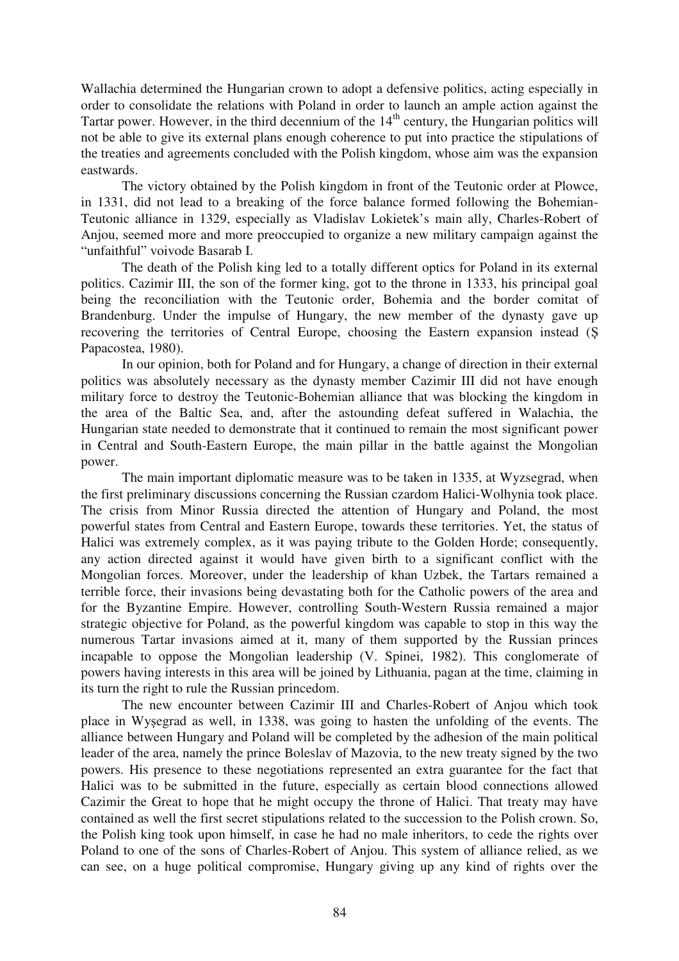Wallachia determined the Hungarian crown to adopt a defensive politics, acting especially in order to consolidate the relations with Poland in order to launch an ample action against the Tartar power. However, in the third decennium of the  $14<sup>th</sup>$  century, the Hungarian politics will not be able to give its external plans enough coherence to put into practice the stipulations of the treaties and agreements concluded with the Polish kingdom, whose aim was the expansion eastwards.

The victory obtained by the Polish kingdom in front of the Teutonic order at Plowce, in 1331, did not lead to a breaking of the force balance formed following the Bohemian-Teutonic alliance in 1329, especially as Vladislav Lokietek's main ally, Charles-Robert of Anjou, seemed more and more preoccupied to organize a new military campaign against the "unfaithful" voivode Basarab I.

The death of the Polish king led to a totally different optics for Poland in its external politics. Cazimir III, the son of the former king, got to the throne in 1333, his principal goal being the reconciliation with the Teutonic order, Bohemia and the border comitat of Brandenburg. Under the impulse of Hungary, the new member of the dynasty gave up recovering the territories of Central Europe, choosing the Eastern expansion instead ( Papacostea, 1980).

In our opinion, both for Poland and for Hungary, a change of direction in their external politics was absolutely necessary as the dynasty member Cazimir III did not have enough military force to destroy the Teutonic-Bohemian alliance that was blocking the kingdom in the area of the Baltic Sea, and, after the astounding defeat suffered in Walachia, the Hungarian state needed to demonstrate that it continued to remain the most significant power in Central and South-Eastern Europe, the main pillar in the battle against the Mongolian power.

The main important diplomatic measure was to be taken in 1335, at Wyzsegrad, when the first preliminary discussions concerning the Russian czardom Halici-Wolhynia took place. The crisis from Minor Russia directed the attention of Hungary and Poland, the most powerful states from Central and Eastern Europe, towards these territories. Yet, the status of Halici was extremely complex, as it was paying tribute to the Golden Horde; consequently, any action directed against it would have given birth to a significant conflict with the Mongolian forces. Moreover, under the leadership of khan Uzbek, the Tartars remained a terrible force, their invasions being devastating both for the Catholic powers of the area and for the Byzantine Empire. However, controlling South-Western Russia remained a major strategic objective for Poland, as the powerful kingdom was capable to stop in this way the numerous Tartar invasions aimed at it, many of them supported by the Russian princes incapable to oppose the Mongolian leadership (V. Spinei, 1982). This conglomerate of powers having interests in this area will be joined by Lithuania, pagan at the time, claiming in its turn the right to rule the Russian princedom.

The new encounter between Cazimir III and Charles-Robert of Anjou which took place in Wyegrad as well, in 1338, was going to hasten the unfolding of the events. The alliance between Hungary and Poland will be completed by the adhesion of the main political leader of the area, namely the prince Boleslav of Mazovia, to the new treaty signed by the two powers. His presence to these negotiations represented an extra guarantee for the fact that Halici was to be submitted in the future, especially as certain blood connections allowed Cazimir the Great to hope that he might occupy the throne of Halici. That treaty may have contained as well the first secret stipulations related to the succession to the Polish crown. So, the Polish king took upon himself, in case he had no male inheritors, to cede the rights over Poland to one of the sons of Charles-Robert of Anjou. This system of alliance relied, as we can see, on a huge political compromise, Hungary giving up any kind of rights over the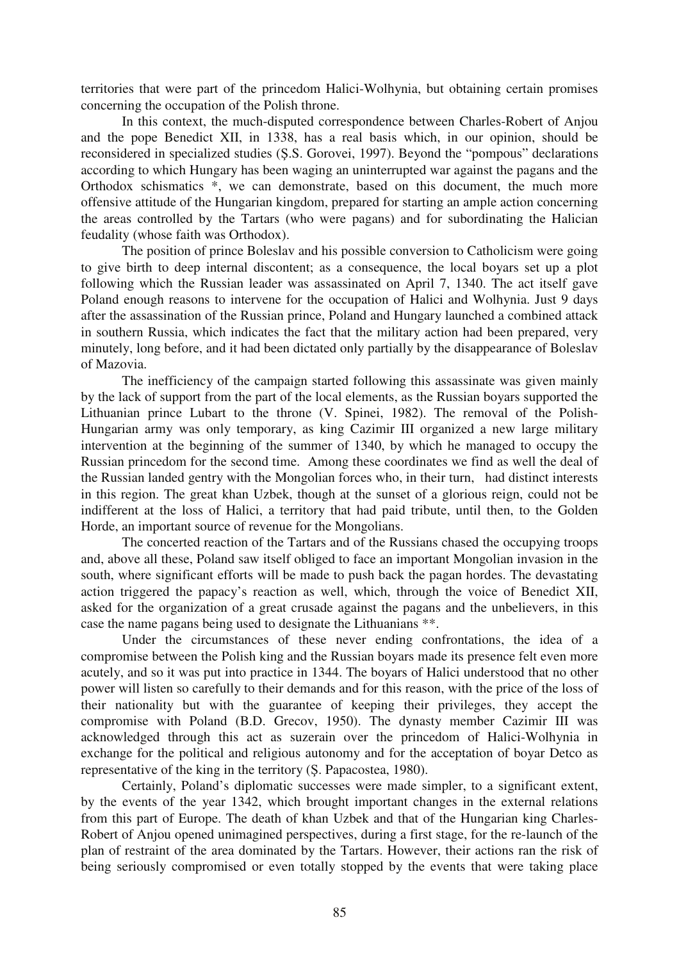territories that were part of the princedom Halici-Wolhynia, but obtaining certain promises concerning the occupation of the Polish throne.

In this context, the much-disputed correspondence between Charles-Robert of Anjou and the pope Benedict XII, in 1338, has a real basis which, in our opinion, should be reconsidered in specialized studies (S.S. Gorovei, 1997). Beyond the "pompous" declarations according to which Hungary has been waging an uninterrupted war against the pagans and the Orthodox schismatics \*, we can demonstrate, based on this document, the much more offensive attitude of the Hungarian kingdom, prepared for starting an ample action concerning the areas controlled by the Tartars (who were pagans) and for subordinating the Halician feudality (whose faith was Orthodox).

The position of prince Boleslav and his possible conversion to Catholicism were going to give birth to deep internal discontent; as a consequence, the local boyars set up a plot following which the Russian leader was assassinated on April 7, 1340. The act itself gave Poland enough reasons to intervene for the occupation of Halici and Wolhynia. Just 9 days after the assassination of the Russian prince, Poland and Hungary launched a combined attack in southern Russia, which indicates the fact that the military action had been prepared, very minutely, long before, and it had been dictated only partially by the disappearance of Boleslav of Mazovia.

The inefficiency of the campaign started following this assassinate was given mainly by the lack of support from the part of the local elements, as the Russian boyars supported the Lithuanian prince Lubart to the throne (V. Spinei, 1982). The removal of the Polish-Hungarian army was only temporary, as king Cazimir III organized a new large military intervention at the beginning of the summer of 1340, by which he managed to occupy the Russian princedom for the second time. Among these coordinates we find as well the deal of the Russian landed gentry with the Mongolian forces who, in their turn, had distinct interests in this region. The great khan Uzbek, though at the sunset of a glorious reign, could not be indifferent at the loss of Halici, a territory that had paid tribute, until then, to the Golden Horde, an important source of revenue for the Mongolians.

The concerted reaction of the Tartars and of the Russians chased the occupying troops and, above all these, Poland saw itself obliged to face an important Mongolian invasion in the south, where significant efforts will be made to push back the pagan hordes. The devastating action triggered the papacy's reaction as well, which, through the voice of Benedict XII, asked for the organization of a great crusade against the pagans and the unbelievers, in this case the name pagans being used to designate the Lithuanians \*\*.

Under the circumstances of these never ending confrontations, the idea of a compromise between the Polish king and the Russian boyars made its presence felt even more acutely, and so it was put into practice in 1344. The boyars of Halici understood that no other power will listen so carefully to their demands and for this reason, with the price of the loss of their nationality but with the guarantee of keeping their privileges, they accept the compromise with Poland (B.D. Grecov, 1950). The dynasty member Cazimir III was acknowledged through this act as suzerain over the princedom of Halici-Wolhynia in exchange for the political and religious autonomy and for the acceptation of boyar Detco as representative of the king in the territory (S. Papacostea, 1980).

Certainly, Poland's diplomatic successes were made simpler, to a significant extent, by the events of the year 1342, which brought important changes in the external relations from this part of Europe. The death of khan Uzbek and that of the Hungarian king Charles-Robert of Anjou opened unimagined perspectives, during a first stage, for the re-launch of the plan of restraint of the area dominated by the Tartars. However, their actions ran the risk of being seriously compromised or even totally stopped by the events that were taking place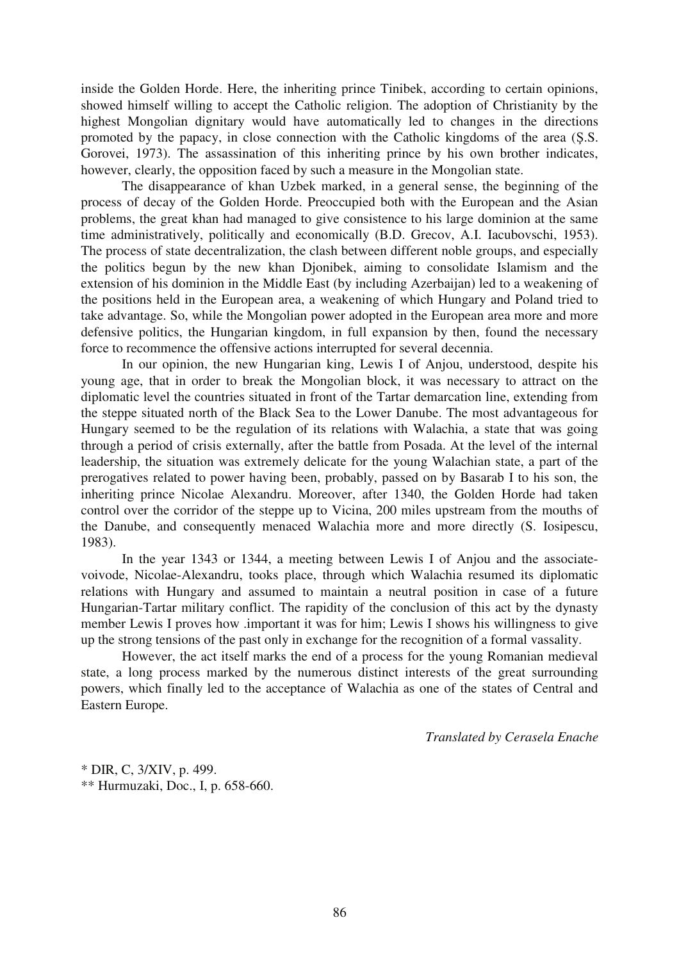inside the Golden Horde. Here, the inheriting prince Tinibek, according to certain opinions, showed himself willing to accept the Catholic religion. The adoption of Christianity by the highest Mongolian dignitary would have automatically led to changes in the directions promoted by the papacy, in close connection with the Catholic kingdoms of the area (S.S. Gorovei, 1973). The assassination of this inheriting prince by his own brother indicates, however, clearly, the opposition faced by such a measure in the Mongolian state.

The disappearance of khan Uzbek marked, in a general sense, the beginning of the process of decay of the Golden Horde. Preoccupied both with the European and the Asian problems, the great khan had managed to give consistence to his large dominion at the same time administratively, politically and economically (B.D. Grecov, A.I. Iacubovschi, 1953). The process of state decentralization, the clash between different noble groups, and especially the politics begun by the new khan Djonibek, aiming to consolidate Islamism and the extension of his dominion in the Middle East (by including Azerbaijan) led to a weakening of the positions held in the European area, a weakening of which Hungary and Poland tried to take advantage. So, while the Mongolian power adopted in the European area more and more defensive politics, the Hungarian kingdom, in full expansion by then, found the necessary force to recommence the offensive actions interrupted for several decennia.

In our opinion, the new Hungarian king, Lewis I of Anjou, understood, despite his young age, that in order to break the Mongolian block, it was necessary to attract on the diplomatic level the countries situated in front of the Tartar demarcation line, extending from the steppe situated north of the Black Sea to the Lower Danube. The most advantageous for Hungary seemed to be the regulation of its relations with Walachia, a state that was going through a period of crisis externally, after the battle from Posada. At the level of the internal leadership, the situation was extremely delicate for the young Walachian state, a part of the prerogatives related to power having been, probably, passed on by Basarab I to his son, the inheriting prince Nicolae Alexandru. Moreover, after 1340, the Golden Horde had taken control over the corridor of the steppe up to Vicina, 200 miles upstream from the mouths of the Danube, and consequently menaced Walachia more and more directly (S. Iosipescu, 1983).

In the year 1343 or 1344, a meeting between Lewis I of Anjou and the associatevoivode, Nicolae-Alexandru, tooks place, through which Walachia resumed its diplomatic relations with Hungary and assumed to maintain a neutral position in case of a future Hungarian-Tartar military conflict. The rapidity of the conclusion of this act by the dynasty member Lewis I proves how .important it was for him; Lewis I shows his willingness to give up the strong tensions of the past only in exchange for the recognition of a formal vassality.

However, the act itself marks the end of a process for the young Romanian medieval state, a long process marked by the numerous distinct interests of the great surrounding powers, which finally led to the acceptance of Walachia as one of the states of Central and Eastern Europe.

*Translated by Cerasela Enache* 

\* DIR, C, 3/XIV, p. 499. \*\* Hurmuzaki, Doc., I, p. 658-660.